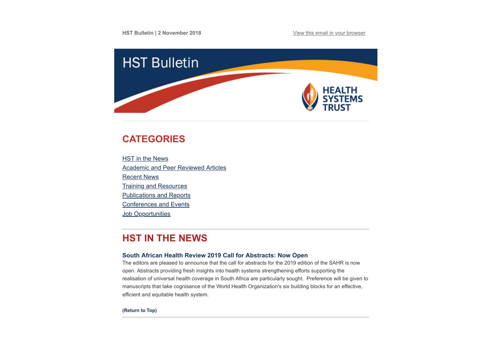

# <span id="page-0-0"></span>**CATEGORIES**

**HST** in the News [Academic and Peer Reviewed Articles](#page-1-0) [Recent News](#page-3-0) [Training and Resources](#page-4-0) [Publications and Reports](#page-5-0) [Conferences and Events](#page-5-1) **Job Opportunities** 

# **HST IN THE NEWS**

## **[South African Health Review 2019 Call for Abstracts: Now Open](http://www.hst.org.za/publications/Pages/SAHR-2019-Call-for-Abstracts.aspx)**

The editors are pleased to announce that the call for abstracts for the 2019 edition of the SAHR is now open. Abstracts providing fresh insights into health systems strengthening efforts supporting the realisation of universal health coverage in South Africa are particularly sought. Preference will be given to manuscripts that take cognisance of the World Health Organization's six building blocks for an effective, efficient and equitable health system.

**[\(Return to Top\)](#page-0-0)**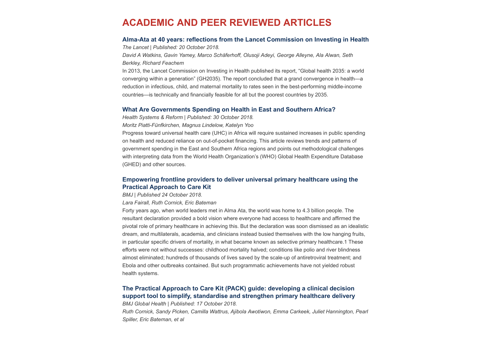## <span id="page-1-0"></span>**ACADEMIC AND PEER REVIEWED ARTICLES**

### **[Alma-Ata at 40 years: reflections from the Lancet Commission on Investing in Health](https://www.thelancet.com/journals/lancet/article/PIIS0140-6736(18)32389-4/fulltext?dgcid=raven_jbs_etoc_email&utm_source=Global+Health+NOW+Main+List&utm_campaign=856c885d8b-EMAIL_CAMPAIGN_2018_10_24_12_23&utm_medium=email&utm_term=0_8d0d062dbd-856c885d8b-2811001)**

*The Lancet | Published: 20 October 2018.*

*David A Watkins, Gavin Yamey, Marco Schäferhoff, Olusoji Adeyi, George Alleyne, Ala Alwan, Seth Berkley, Richard Feachem*

In 2013, the Lancet Commission on Investing in Health published its report, "Global health 2035: a world converging within a generation" (GH2035). The report concluded that a grand convergence in health—a reduction in infectious, child, and maternal mortality to rates seen in the best-performing middle-income countries—is technically and financially feasible for all but the poorest countries by 2035.

## **[What Are Governments Spending on Health in East and Southern Africa?](https://www.tandfonline.com/doi/full/10.1080/23288604.2018.1510287)**

*Health Systems & Reform | Published: 30 October 2018.*

*Moritz Piatti-Fünfkirchen, Magnus Lindelow, Katelyn Yoo*

Progress toward universal health care (UHC) in Africa will require sustained increases in public spending on health and reduced reliance on out-of-pocket financing. This article reviews trends and patterns of government spending in the East and Southern Africa regions and points out methodological challenges with interpreting data from the World Health Organization's (WHO) Global Health Expenditure Database (GHED) and other sources.

## **[Empowering frontline providers to deliver universal primary healthcare using the](https://www.bmj.com/content/363/bmj.k4451) Practical Approach to Care Kit**

*BMJ | Published 24 October 2018.*

*Lara Fairall, Ruth Cornick, Eric Bateman*

Forty years ago, when world leaders met in Alma Ata, the world was home to 4.3 billion people. The resultant declaration provided a bold vision where everyone had access to healthcare and affirmed the pivotal role of primary healthcare in achieving this. But the declaration was soon dismissed as an idealistic dream, and multilaterals, academia, and clinicians instead busied themselves with the low hanging fruits, in particular specific drivers of mortality, in what became known as selective primary healthcare.1 These efforts were not without successes: childhood mortality halved; conditions like polio and river blindness almost eliminated; hundreds of thousands of lives saved by the scale-up of antiretroviral treatment; and Ebola and other outbreaks contained. But such programmatic achievements have not yielded robust health systems.

## **The Practical Approach to Care Kit (PACK) guide: developing a clinical decision [support tool to simplify, standardise and strengthen primary healthcare delivery](https://gh.bmj.com/content/3/Suppl_5/e000962)**

*BMJ Global Health | Published: 17 October 2018.*

*Ruth Cornick, Sandy Picken, Camilla Wattrus, Ajibola Awotiwon, Emma Carkeek, Juliet Hannington, Pearl Spiller, Eric Bateman, et al*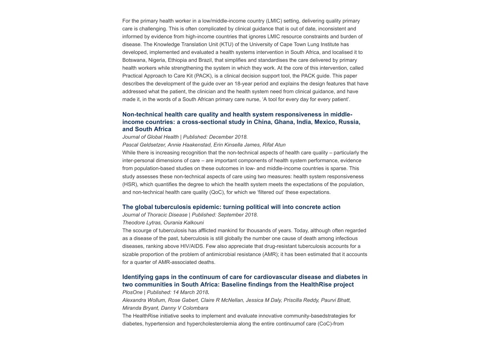For the primary health worker in a low/middle-income country (LMIC) setting, delivering quality primary care is challenging. This is often complicated by clinical guidance that is out of date, inconsistent and informed by evidence from high-income countries that ignores LMIC resource constraints and burden of disease. The Knowledge Translation Unit (KTU) of the University of Cape Town Lung Institute has developed, implemented and evaluated a health systems intervention in South Africa, and localised it to Botswana, Nigeria, Ethiopia and Brazil, that simplifies and standardises the care delivered by primary health workers while strengthening the system in which they work. At the core of this intervention, called Practical Approach to Care Kit (PACK), is a clinical decision support tool, the PACK guide. This paper describes the development of the guide over an 18-year period and explains the design features that have addressed what the patient, the clinician and the health system need from clinical guidance, and have made it, in the words of a South African primary care nurse, 'A tool for every day for every patient'.

## **Non-technical health care quality and health system responsiveness in middle[income countries: a cross-sectional study in China, Ghana, India, Mexico, Russia,](http://jogh.org/documents/issue201802/jogh-08-020417.pdf) and South Africa**

*Journal of Global Health | Published: December 2018.*

*Pascal Geldsetzer, Annie Haakenstad, Erin Kinsella James, Rifat Atun*

While there is increasing recognition that the non-technical aspects of health care quality – particularly the inter-personal dimensions of care – are important components of health system performance, evidence from population-based studies on these outcomes in low- and middle-income countries is sparse. This study assesses these non-technical aspects of care using two measures: health system responsiveness (HSR), which quantifies the degree to which the health system meets the expectations of the population, and non-technical health care quality (QoC), for which we 'filtered out' these expectations.

#### **[The global tuberculosis epidemic: turning political will into concrete action](http://jtd.amegroups.com/article/view/23562/18121%20%C2%A0)**

*Journal of Thoracic Disease | Published: September 2018.*

#### *Theodore Lytras, Ourania Kalkouni*

The scourge of tuberculosis has afflicted mankind for thousands of years. Today, although often regarded as a disease of the past, tuberculosis is still globally the number one cause of death among infectious diseases, ranking above HIV/AIDS. Few also appreciate that drug-resistant tuberculosis accounts for a sizable proportion of the problem of antimicrobial resistance (AMR); it has been estimated that it accounts for a quarter of AMR-associated deaths.

## **[Identifying gaps in the continuum of care for cardiovascular disease and diabetes in](https://journals.plos.org/plosone/article?id=10.1371/journal.pone.0192603) two communities in South Africa: Baseline findings from the HealthRise project**

*PlosOne | Published: 14 March 2018***.** *Alexandra Wollum, Rose Gabert, Claire R McNellan, Jessica M Daly, Priscilla Reddy, Paurvi Bhatt, Miranda Bryant, Danny V Colombara*

The HealthRise initiative seeks to implement and evaluate innovative community-basedstrategies for diabetes, hypertension and hypercholesterolemia along the entire continuumof care (CoC)-from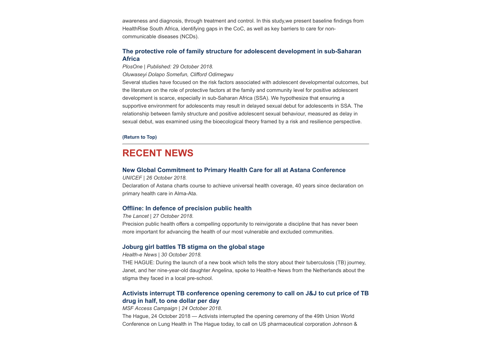awareness and diagnosis, through treatment and control. In this study,we present baseline findings from HealthRise South Africa, identifying gaps in the CoC, as well as key barriers to care for noncommunicable diseases (NCDs).

### **[The protective role of family structure for adolescent development in sub-Saharan](https://journals.plos.org/plosone/article?id=10.1371/journal.pone.0206197) Africa**

*PlosOne | Published: 29 October 2018.*

*Oluwaseyi Dolapo Somefun, Clifford Odimegwu*

Several studies have focused on the risk factors associated with adolescent developmental outcomes, but the literature on the role of protective factors at the family and community level for positive adolescent development is scarce, especially in sub-Saharan Africa (SSA). We hypothesize that ensuring a supportive environment for adolescents may result in delayed sexual debut for adolescents in SSA. The relationship between family structure and positive adolescent sexual behaviour, measured as delay in sexual debut, was examined using the bioecological theory framed by a risk and resilience perspective.

#### **[\(Return to Top\)](#page-0-0)**

## <span id="page-3-0"></span>**RECENT NEWS**

#### **[New Global Commitment to Primary Health Care for all at Astana Conference](https://www.unicef.org/laos/press-releases/new-global-commitment-primary-health-care-all-astana-conference)**

*UNICEF | 26 October 2018.*

Declaration of Astana charts course to achieve universal health coverage, 40 years since declaration on primary health care in Alma-Ata.

#### **[Offline: In defence of precision public health](https://www.thelancet.com/journals/lancet/article/PIIS0140-6736(18)32741-7/fulltext?dgcid=raven_jbs_etoc_email)**

*The Lancet | 27 October 2018.*

Precision public health offers a compelling opportunity to reinvigorate a discipline that has never been more important for advancing the health of our most vulnerable and excluded communities.

### **[Joburg girl battles TB stigma on the global stage](https://www.health-e.org.za/2018/10/30/joburg-girl-battles-tb-stigma-on-the-global-stage/)**

*Health-e News | 30 October 2018.*

THE HAGUE: During the launch of a new book which tells the story about their tuberculosis (TB) journey, Janet, and her nine-year-old daughter Angelina, spoke to Health-e News from the Netherlands about the stigma they faced in a local pre-school.

## **[Activists interrupt TB conference opening ceremony to call on J&J to cut price of TB](https://msfaccess.org/activists-interrupt-tb-conference-opening-ceremony-call-jj-cut-price-tb-drug-half-one-dollar-day) drug in half, to one dollar per day**

*MSF Access Campaign | 24 October 2018.*

The Hague, 24 October 2018 — Activists interrupted the opening ceremony of the 49th Union World Conference on Lung Health in The Hague today, to call on US pharmaceutical corporation Johnson &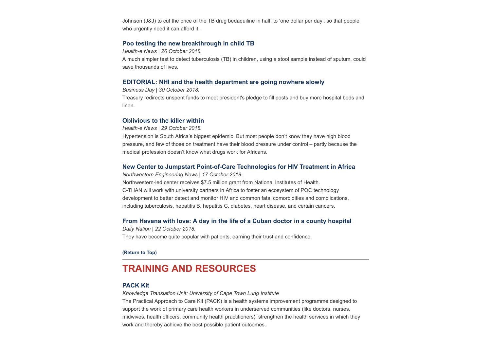Johnson (J&J) to cut the price of the TB drug bedaquiline in half, to 'one dollar per day', so that people who urgently need it can afford it.

#### **[Poo testing the new breakthrough in child TB](https://www.health-e.org.za/2018/10/26/poo-testing-the-new-breakthrough-in-child-tb/)**

*Health-e News | 26 October 2018.*

A much simpler test to detect tuberculosis (TB) in children, using a stool sample instead of sputum, could save thousands of lives.

### **[EDITORIAL: NHI and the health department are going nowhere slowly](https://www.businesslive.co.za/bd/opinion/editorials/2018-10-30-editorial-nhi-and-the-health-department-are-going-nowhere-slowly/)**

*Business Day | 30 October 2018.* Treasury redirects unspent funds to meet president's pledge to fill posts and buy more hospital beds and linen.

#### **[Oblivious to the killer within](https://www.health-e.org.za/2018/10/29/oblivious-to-the-killer-within/)**

*Health-e News | 29 October 2018.*

Hypertension is South Africa's biggest epidemic. But most people don't know they have high blood pressure, and few of those on treatment have their blood pressure under control – partly because the medical profession doesn't know what drugs work for Africans.

#### **[New Center to Jumpstart Point-of-Care Technologies for HIV Treatment in Africa](https://www.mccormick.northwestern.edu/news/articles/2018/10/new-center-to-jumpstart-point-of-care-technologies-for-hiv-treatment-in-africa.html?utm_source=Global+Health+NOW+Main+List&utm_campaign=653007a079-EMAIL_CAMPAIGN_2018_10_23_12_29&utm_medium=email&utm_term=0_8d0d062dbd-653007a079-2811001)**

*Northwestern Engineering News | 17 October 2018.* Northwestern-led center receives \$7.5 million grant from National Institutes of Health. C-THAN will work with university partners in Africa to foster an ecosystem of POC technology development to better detect and monitor HIV and common fatal comorbidities and complications, including tuberculosis, hepatitis B, hepatitis C, diabetes, heart disease, and certain cancers.

#### **[From Havana with love: A day in the life of a Cuban doctor in a county hospital](https://www.nation.co.ke/health/A-day-in-the-life-of-a-Cuban-doctor-in-a-county-hospital/3476990-4818018-nw8s8c/index.html)**

*Daily Nation | 22 October 2018.* They have become quite popular with patients, earning their trust and confidence.

#### **[\(Return to Top\)](#page-0-0)**

## <span id="page-4-0"></span>**TRAINING AND RESOURCES**

#### **[PACK Kit](https://knowledgetranslation.co.za/)**

*Knowledge Translation Unit: University of Cape Town Lung Institute* 

The Practical Approach to Care Kit (PACK) is a health systems improvement programme designed to support the work of primary care health workers in underserved communities (like doctors, nurses, midwives, health officers, community health practitioners), strengthen the health services in which they work and thereby achieve the best possible patient outcomes.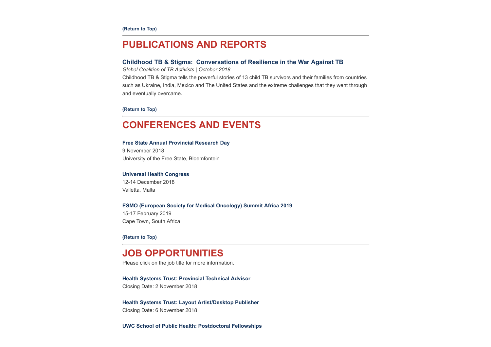## <span id="page-5-0"></span>**PUBLICATIONS AND REPORTS**

#### **[Childhood TB & Stigma: Conversations of Resilience in the War Against TB](http://www.hst.org.za/publications/NonHST%20Publications/Childhood%20TB%20and%20Stigma,%20Conversations%20of%20Resilience%20in%20the%20War%20Against%20TB.pdf)**

*Global Coalition of TB Activists | October 2018.*

Childhood TB & Stigma tells the powerful stories of 13 child TB survivors and their families from countries such as Ukraine, India, Mexico and The United States and the extreme challenges that they went through and eventually overcame.

#### **[\(Return to Top\)](#page-0-0)**

## <span id="page-5-1"></span>**CONFERENCES AND EVENTS**

## **[Free State Annual Provincial Research Day](http://www.hst.org.za/Lists/HST%20Events/DispForm.aspx?ID=30)**

9 November 2018 University of the Free State, Bloemfontein

#### **[Universal Health Congress](http://www.uhmhcongress2018.net/)**

12-14 December 2018 Valletta, Malta

#### **[ESMO \(European Society for Medical Oncology\) Summit Africa 2019](https://www.esmo.org/Conferences/ESMO-Summit-Africa-2019)**

15-17 February 2019 Cape Town, South Africa

**[\(Return to Top\)](#page-0-0)**

## **JOB OPPORTUNITIES**

Please click on the job title for more information.

# **[Health Systems Trust: Provincial Technical Advisor](http://www.hst.org.za/Pages/Provincial-Technical-Advisor.aspx)**

Closing Date: 2 November 2018

#### **[Health Systems Trust: Layout Artist/Desktop Publisher](http://www.hst.org.za/Pages/Layout-ArtistDesktop-Publisher-.aspx)**

Closing Date: 6 November 2018

**[UWC School of Public Health: Postdoctoral Fellowships](http://www.hst.org.za/Pages/POSTDOCTORAL-FELLOWSHIPS-HPSR-2019.aspx)**